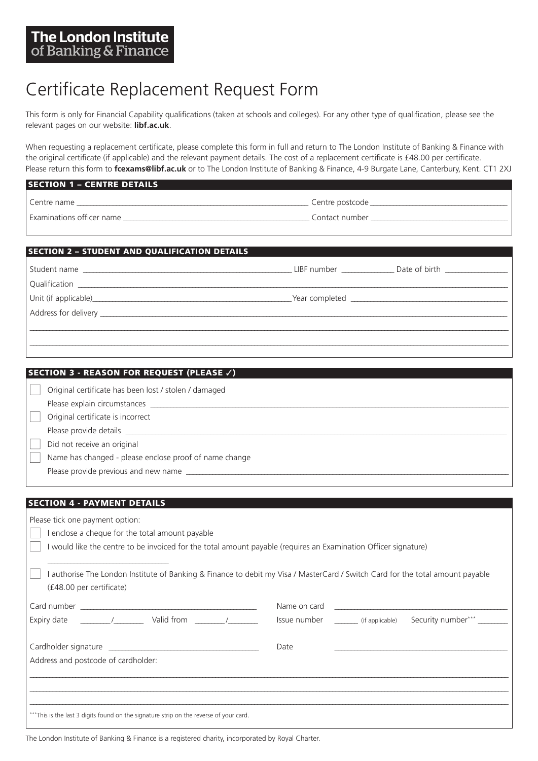## Certificate Replacement Request Form

This form is only for Financ[ial Capability qualif](https://www.libf.ac.uk)ications (taken at schools and colleges). For any other type of qualification, please see the relevant pages on our website: **libf.ac.uk**.

When requesting a replacement certificate, please complete this form in full and return to The London Institute of Banking & Finance with the original certificate (if applicable) and the relevant payment details. The cost of a replacement certificate is £48.00 per certificate. Please return this form to **fcexams@libf.ac.uk** or to The London Institute of Banking & Finance, 4-9 Burgate Lane, Canterbury, Kent. CT1 2XJ

| <b>SECTION 1 - CENTRE DETAILS</b> |                 |  |  |
|-----------------------------------|-----------------|--|--|
| l Centre name                     | Centre postcode |  |  |
| Examinations officer name         | Contact number  |  |  |

| <b>SECTION 2 - STUDENT AND QUALIFICATION DETAILS</b> |                                                                                                                                                                                                                                         |                                |  |  |
|------------------------------------------------------|-----------------------------------------------------------------------------------------------------------------------------------------------------------------------------------------------------------------------------------------|--------------------------------|--|--|
| Student name                                         | LIBF number the control of the control of the control of the control of the control of the control of the control of the control of the control of the control of the control of the control of the control of the control of           | Date of birth ________________ |  |  |
|                                                      | <b>Solution</b> Year completed <b>Solution</b> Security 2014 19:30:00 19:30:00 19:30:00 19:30:00 19:30:00 19:30:00 19:30:00 19:30:00 19:30:00 19:30:00 19:30:00 19:30:00 19:30:00 19:30:00 19:30:00 19:30:00 19:30:00 19:30:00 19:30:00 |                                |  |  |
|                                                      |                                                                                                                                                                                                                                         |                                |  |  |
|                                                      |                                                                                                                                                                                                                                         |                                |  |  |

| SECTION 3 - REASON FOR REQUEST (PLEASE /) |                                                        |  |  |
|-------------------------------------------|--------------------------------------------------------|--|--|
|                                           | Original certificate has been lost / stolen / damaged  |  |  |
|                                           | Please explain circumstances ____________              |  |  |
|                                           | Original certificate is incorrect                      |  |  |
|                                           | Please provide details                                 |  |  |
|                                           | Did not receive an original                            |  |  |
|                                           | Name has changed - please enclose proof of name change |  |  |
|                                           | Please provide previous and new name                   |  |  |

## **YOUR DETAILS SECTION 4 - PAYMENT DETAILS**

| Please tick one payment option:<br>enclose a cheque for the total amount payable<br>I would like the centre to be invoiced for the total amount payable (requires an Examination Officer signature)                                                                                                               |                                                                    |  |  |  |
|-------------------------------------------------------------------------------------------------------------------------------------------------------------------------------------------------------------------------------------------------------------------------------------------------------------------|--------------------------------------------------------------------|--|--|--|
| I authorise The London Institute of Banking & Finance to debit my Visa / MasterCard / Switch Card for the total amount payable<br>(£48.00 per certificate)                                                                                                                                                        |                                                                    |  |  |  |
|                                                                                                                                                                                                                                                                                                                   | Name on card                                                       |  |  |  |
| Expiry date $\frac{1}{2}$ $\frac{1}{2}$ $\frac{1}{2}$ $\frac{1}{2}$ $\frac{1}{2}$ $\frac{1}{2}$ $\frac{1}{2}$ $\frac{1}{2}$ $\frac{1}{2}$ $\frac{1}{2}$ $\frac{1}{2}$ $\frac{1}{2}$ $\frac{1}{2}$ $\frac{1}{2}$ $\frac{1}{2}$ $\frac{1}{2}$ $\frac{1}{2}$ $\frac{1}{2}$ $\frac{1}{2}$ $\frac{1}{2}$ $\frac{1}{2}$ | Issue number ________ (if applicable) Security number*** _________ |  |  |  |
| Cardholder signature                                                                                                                                                                                                                                                                                              | Date                                                               |  |  |  |
| Address and postcode of cardholder:                                                                                                                                                                                                                                                                               |                                                                    |  |  |  |
|                                                                                                                                                                                                                                                                                                                   |                                                                    |  |  |  |
| ***This is the last 3 digits found on the signature strip on the reverse of your card.                                                                                                                                                                                                                            |                                                                    |  |  |  |

The London Institute of Banking & Finance is a registered charity, incorporated by Royal Charter.